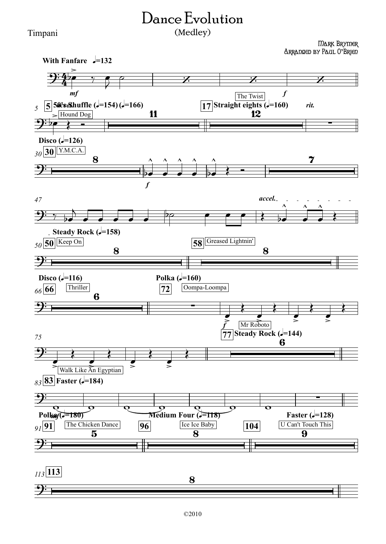Timpani

## Dance Evolution

(Medley)

Mark Brymer Arranged by Paul O**'**Brien